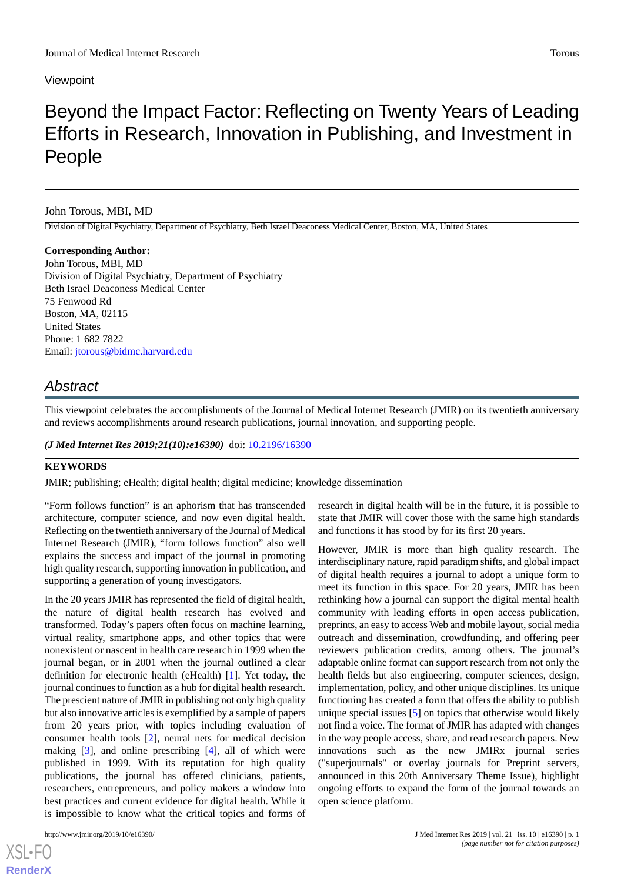#### **Viewpoint**

# Beyond the Impact Factor: Reflecting on Twenty Years of Leading Efforts in Research, Innovation in Publishing, and Investment in People

#### John Torous, MBI, MD

Division of Digital Psychiatry, Department of Psychiatry, Beth Israel Deaconess Medical Center, Boston, MA, United States

**Corresponding Author:** John Torous, MBI, MD Division of Digital Psychiatry, Department of Psychiatry Beth Israel Deaconess Medical Center 75 Fenwood Rd Boston, MA, 02115 United States Phone: 1 682 7822 Email: [jtorous@bidmc.harvard.edu](mailto:jtorous@bidmc.harvard.edu)

# *Abstract*

This viewpoint celebrates the accomplishments of the Journal of Medical Internet Research (JMIR) on its twentieth anniversary and reviews accomplishments around research publications, journal innovation, and supporting people.

(*J Med Internet Res 2019;21(10):e16390*) doi: **[10.2196/16390](http://dx.doi.org/10.2196/16390)** 

# **KEYWORDS**

JMIR; publishing; eHealth; digital health; digital medicine; knowledge dissemination

"Form follows function" is an aphorism that has transcended architecture, computer science, and now even digital health. Reflecting on the twentieth anniversary of the Journal of Medical Internet Research (JMIR), "form follows function" also well explains the success and impact of the journal in promoting high quality research, supporting innovation in publication, and supporting a generation of young investigators.

In the 20 years JMIR has represented the field of digital health, the nature of digital health research has evolved and transformed. Today's papers often focus on machine learning, virtual reality, smartphone apps, and other topics that were nonexistent or nascent in health care research in 1999 when the journal began, or in 2001 when the journal outlined a clear definition for electronic health (eHealth) [[1\]](#page-1-0). Yet today, the journal continues to function as a hub for digital health research. The prescient nature of JMIR in publishing not only high quality but also innovative articles is exemplified by a sample of papers from 20 years prior, with topics including evaluation of consumer health tools [[2](#page-1-1)], neural nets for medical decision making [[3\]](#page-1-2), and online prescribing [[4\]](#page-1-3), all of which were published in 1999. With its reputation for high quality publications, the journal has offered clinicians, patients, researchers, entrepreneurs, and policy makers a window into best practices and current evidence for digital health. While it is impossible to know what the critical topics and forms of

[XSL](http://www.w3.org/Style/XSL)•FO **[RenderX](http://www.renderx.com/)**

research in digital health will be in the future, it is possible to state that JMIR will cover those with the same high standards and functions it has stood by for its first 20 years.

However, JMIR is more than high quality research. The interdisciplinary nature, rapid paradigm shifts, and global impact of digital health requires a journal to adopt a unique form to meet its function in this space. For 20 years, JMIR has been rethinking how a journal can support the digital mental health community with leading efforts in open access publication, preprints, an easy to access Web and mobile layout, social media outreach and dissemination, crowdfunding, and offering peer reviewers publication credits, among others. The journal's adaptable online format can support research from not only the health fields but also engineering, computer sciences, design, implementation, policy, and other unique disciplines. Its unique functioning has created a form that offers the ability to publish unique special issues [[5\]](#page-1-4) on topics that otherwise would likely not find a voice. The format of JMIR has adapted with changes in the way people access, share, and read research papers. New innovations such as the new JMIRx journal series ("superjournals" or overlay journals for Preprint servers, announced in this 20th Anniversary Theme Issue), highlight ongoing efforts to expand the form of the journal towards an open science platform.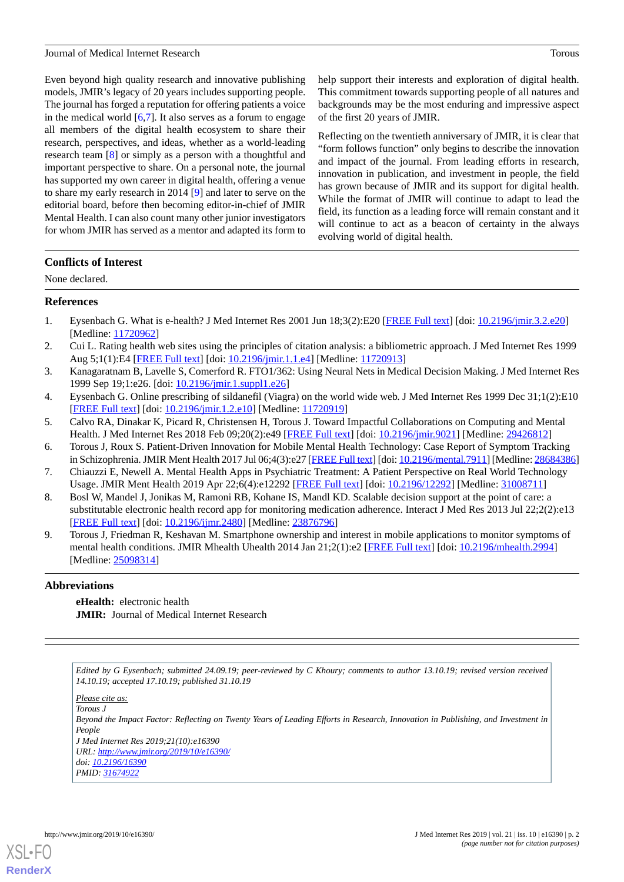#### Journal of Medical Internet Research Torous

Even beyond high quality research and innovative publishing models, JMIR's legacy of 20 years includes supporting people. The journal has forged a reputation for offering patients a voice in the medical world  $[6,7]$  $[6,7]$  $[6,7]$  $[6,7]$ . It also serves as a forum to engage all members of the digital health ecosystem to share their research, perspectives, and ideas, whether as a world-leading research team [\[8](#page-1-7)] or simply as a person with a thoughtful and important perspective to share. On a personal note, the journal has supported my own career in digital health, offering a venue to share my early research in 2014 [[9\]](#page-1-8) and later to serve on the editorial board, before then becoming editor-in-chief of JMIR Mental Health. I can also count many other junior investigators for whom JMIR has served as a mentor and adapted its form to help support their interests and exploration of digital health. This commitment towards supporting people of all natures and backgrounds may be the most enduring and impressive aspect of the first 20 years of JMIR.

Reflecting on the twentieth anniversary of JMIR, it is clear that "form follows function" only begins to describe the innovation and impact of the journal. From leading efforts in research, innovation in publication, and investment in people, the field has grown because of JMIR and its support for digital health. While the format of JMIR will continue to adapt to lead the field, its function as a leading force will remain constant and it will continue to act as a beacon of certainty in the always evolving world of digital health.

# **Conflicts of Interest**

<span id="page-1-0"></span>None declared.

#### **References**

- <span id="page-1-1"></span>1. Eysenbach G. What is e-health? J Med Internet Res 2001 Jun 18;3(2):E20 [\[FREE Full text\]](https://www.jmir.org/2001/2/e20/) [doi: [10.2196/jmir.3.2.e20](http://dx.doi.org/10.2196/jmir.3.2.e20)] [Medline: [11720962](http://www.ncbi.nlm.nih.gov/entrez/query.fcgi?cmd=Retrieve&db=PubMed&list_uids=11720962&dopt=Abstract)]
- <span id="page-1-3"></span><span id="page-1-2"></span>2. Cui L. Rating health web sites using the principles of citation analysis: a bibliometric approach. J Med Internet Res 1999 Aug 5;1(1):E4 [\[FREE Full text\]](https://www.jmir.org/1999/1/e4/) [doi: [10.2196/jmir.1.1.e4](http://dx.doi.org/10.2196/jmir.1.1.e4)] [Medline: [11720913](http://www.ncbi.nlm.nih.gov/entrez/query.fcgi?cmd=Retrieve&db=PubMed&list_uids=11720913&dopt=Abstract)]
- <span id="page-1-4"></span>3. Kanagaratnam B, Lavelle S, Comerford R. FTO1/362: Using Neural Nets in Medical Decision Making. J Med Internet Res 1999 Sep 19;1:e26. [doi: [10.2196/jmir.1.suppl1.e26\]](http://dx.doi.org/10.2196/jmir.1.suppl1.e26)
- <span id="page-1-5"></span>4. Eysenbach G. Online prescribing of sildanefil (Viagra) on the world wide web. J Med Internet Res 1999 Dec 31;1(2):E10 [[FREE Full text](https://www.jmir.org/1999/2/e10/)] [doi: [10.2196/jmir.1.2.e10\]](http://dx.doi.org/10.2196/jmir.1.2.e10) [Medline: [11720919\]](http://www.ncbi.nlm.nih.gov/entrez/query.fcgi?cmd=Retrieve&db=PubMed&list_uids=11720919&dopt=Abstract)
- <span id="page-1-6"></span>5. Calvo RA, Dinakar K, Picard R, Christensen H, Torous J. Toward Impactful Collaborations on Computing and Mental Health. J Med Internet Res 2018 Feb 09;20(2):e49 [[FREE Full text](https://www.jmir.org/2018/2/e49/)] [doi: [10.2196/jmir.9021\]](http://dx.doi.org/10.2196/jmir.9021) [Medline: [29426812](http://www.ncbi.nlm.nih.gov/entrez/query.fcgi?cmd=Retrieve&db=PubMed&list_uids=29426812&dopt=Abstract)]
- <span id="page-1-7"></span>6. Torous J, Roux S. Patient-Driven Innovation for Mobile Mental Health Technology: Case Report of Symptom Tracking in Schizophrenia. JMIR Ment Health 2017 Jul 06;4(3):e27 [\[FREE Full text\]](https://mental.jmir.org/2017/3/e27/) [doi: [10.2196/mental.7911](http://dx.doi.org/10.2196/mental.7911)] [Medline: [28684386\]](http://www.ncbi.nlm.nih.gov/entrez/query.fcgi?cmd=Retrieve&db=PubMed&list_uids=28684386&dopt=Abstract)
- <span id="page-1-8"></span>7. Chiauzzi E, Newell A. Mental Health Apps in Psychiatric Treatment: A Patient Perspective on Real World Technology Usage. JMIR Ment Health 2019 Apr 22;6(4):e12292 [[FREE Full text](https://mental.jmir.org/2019/4/e12292/)] [doi: [10.2196/12292](http://dx.doi.org/10.2196/12292)] [Medline: [31008711](http://www.ncbi.nlm.nih.gov/entrez/query.fcgi?cmd=Retrieve&db=PubMed&list_uids=31008711&dopt=Abstract)]
- 8. Bosl W, Mandel J, Jonikas M, Ramoni RB, Kohane IS, Mandl KD. Scalable decision support at the point of care: a substitutable electronic health record app for monitoring medication adherence. Interact J Med Res 2013 Jul 22;2(2):e13 [[FREE Full text](https://www.i-jmr.org/2013/2/e13/)] [doi: [10.2196/ijmr.2480](http://dx.doi.org/10.2196/ijmr.2480)] [Medline: [23876796](http://www.ncbi.nlm.nih.gov/entrez/query.fcgi?cmd=Retrieve&db=PubMed&list_uids=23876796&dopt=Abstract)]
- 9. Torous J, Friedman R, Keshavan M. Smartphone ownership and interest in mobile applications to monitor symptoms of mental health conditions. JMIR Mhealth Uhealth 2014 Jan 21;2(1):e2 [[FREE Full text](https://mhealth.jmir.org/2014/1/e2/)] [doi: [10.2196/mhealth.2994\]](http://dx.doi.org/10.2196/mhealth.2994) [Medline: [25098314](http://www.ncbi.nlm.nih.gov/entrez/query.fcgi?cmd=Retrieve&db=PubMed&list_uids=25098314&dopt=Abstract)]

# **Abbreviations**

**eHealth:** electronic health **JMIR:** Journal of Medical Internet Research

*Edited by G Eysenbach; submitted 24.09.19; peer-reviewed by C Khoury; comments to author 13.10.19; revised version received 14.10.19; accepted 17.10.19; published 31.10.19*

*Please cite as: Torous J*

*Beyond the Impact Factor: Reflecting on Twenty Years of Leading Efforts in Research, Innovation in Publishing, and Investment in People*

*J Med Internet Res 2019;21(10):e16390 URL: <http://www.jmir.org/2019/10/e16390/> doi: [10.2196/16390](http://dx.doi.org/10.2196/16390) PMID: [31674922](http://www.ncbi.nlm.nih.gov/entrez/query.fcgi?cmd=Retrieve&db=PubMed&list_uids=31674922&dopt=Abstract)*

[XSL](http://www.w3.org/Style/XSL)•FO **[RenderX](http://www.renderx.com/)**